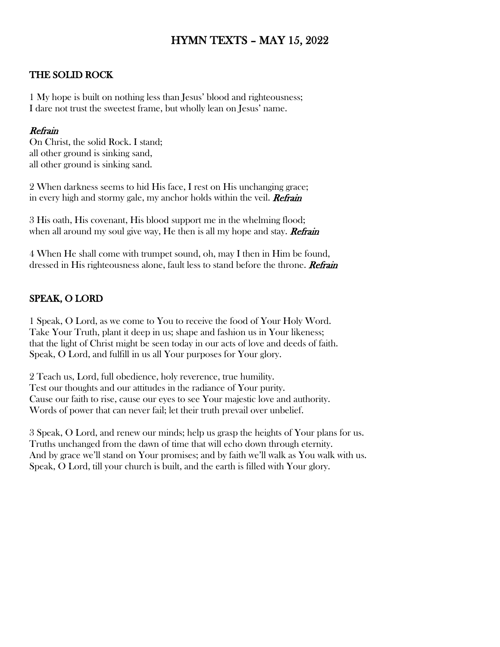# HYMN TEXTS – MAY 15, 2022

#### THE SOLID ROCK

1 My hope is built on nothing less than Jesus' blood and righteousness; I dare not trust the sweetest frame, but wholly lean on Jesus' name.

#### Refrain

On Christ, the solid Rock. I stand; all other ground is sinking sand, all other ground is sinking sand.

2 When darkness seems to hid His face, I rest on His unchanging grace; in every high and stormy gale, my anchor holds within the veil. **Refrain** 

3 His oath, His covenant, His blood support me in the whelming flood; when all around my soul give way, He then is all my hope and stay. **Refrain** 

4 When He shall come with trumpet sound, oh, may I then in Him be found, dressed in His righteousness alone, fault less to stand before the throne. Refrain

#### SPEAK, O LORD

1 Speak, O Lord, as we come to You to receive the food of Your Holy Word. Take Your Truth, plant it deep in us; shape and fashion us in Your likeness; that the light of Christ might be seen today in our acts of love and deeds of faith. Speak, O Lord, and fulfill in us all Your purposes for Your glory.

2 Teach us, Lord, full obedience, holy reverence, true humility. Test our thoughts and our attitudes in the radiance of Your purity. Cause our faith to rise, cause our eyes to see Your majestic love and authority. Words of power that can never fail; let their truth prevail over unbelief.

3 Speak, O Lord, and renew our minds; help us grasp the heights of Your plans for us. Truths unchanged from the dawn of time that will echo down through eternity. And by grace we'll stand on Your promises; and by faith we'll walk as You walk with us. Speak, O Lord, till your church is built, and the earth is filled with Your glory.